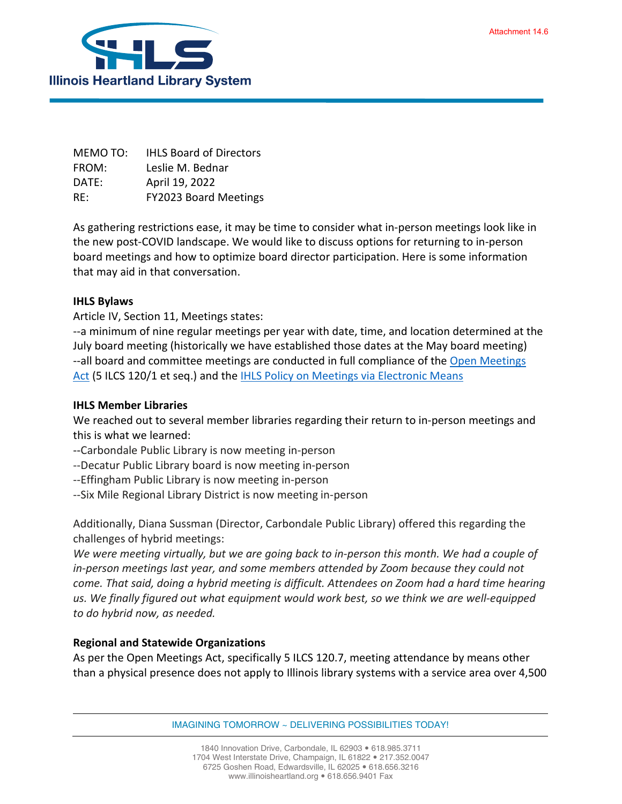

MEMO TO: IHLS Board of Directors FROM: Leslie M. Bednar DATE: April 19, 2022 RE: FY2023 Board Meetings

As gathering restrictions ease, it may be time to consider what in-person meetings look like in the new post-COVID landscape. We would like to discuss options for returning to in-person board meetings and how to optimize board director participation. Here is some information that may aid in that conversation.

## **IHLS Bylaws**

Article IV, Section 11, Meetings states:

--a minimum of nine regular meetings per year with date, time, and location determined at the July board meeting (historically we have established those dates at the May board meeting) --all board and committee meetings are conducted in full compliance of the [Open Meetings](https://www.ilga.gov/legislation/ilcs/ilcs3.asp?ActID=84&ChapterID=2)  [Act](https://www.ilga.gov/legislation/ilcs/ilcs3.asp?ActID=84&ChapterID=2) (5 ILCS 120/1 et seq.) and th[e IHLS Policy on Meetings via Electronic Means](https://illinoisheartland.org/sites/default/files/about/policies/Meetings%20via%20Electronic%20Means%20October%202012.pdf)

## **IHLS Member Libraries**

We reached out to several member libraries regarding their return to in-person meetings and this is what we learned:

- --Carbondale Public Library is now meeting in-person
- --Decatur Public Library board is now meeting in-person
- --Effingham Public Library is now meeting in-person
- --Six Mile Regional Library District is now meeting in-person

Additionally, Diana Sussman (Director, Carbondale Public Library) offered this regarding the challenges of hybrid meetings:

*We were meeting virtually, but we are going back to in-person this month. We had a couple of in-person meetings last year, and some members attended by Zoom because they could not come. That said, doing a hybrid meeting is difficult. Attendees on Zoom had a hard time hearing us. We finally figured out what equipment would work best, so we think we are well-equipped to do hybrid now, as needed.*

## **Regional and Statewide Organizations**

As per the Open Meetings Act, specifically 5 ILCS 120.7, meeting attendance by means other than a physical presence does not apply to Illinois library systems with a service area over 4,500